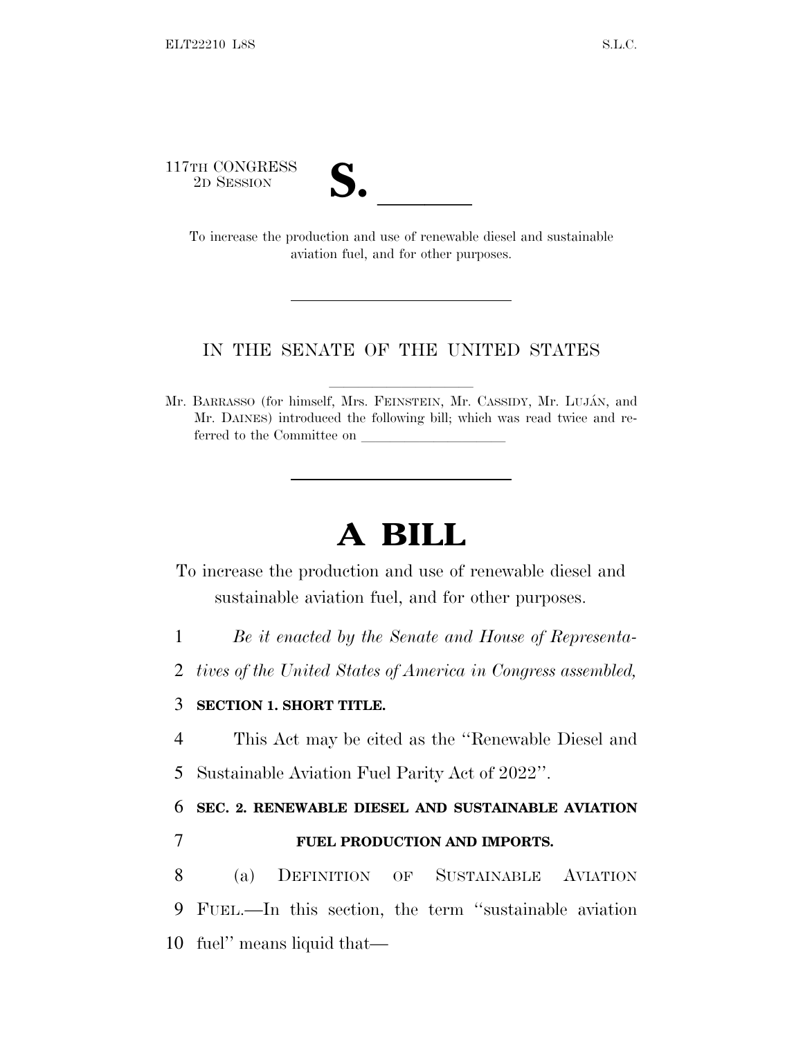117TH CONGRESS



TH CONGRESS<br>
2D SESSION<br>
To increase the production and use of renewable diesel and sustainable aviation fuel, and for other purposes.

## IN THE SENATE OF THE UNITED STATES

Mr. BARRASSO (for himself, Mrs. FEINSTEIN, Mr. CASSIDY, Mr. LUJÁN, and Mr. DAINES) introduced the following bill; which was read twice and referred to the Committee on

## **A BILL**

- To increase the production and use of renewable diesel and sustainable aviation fuel, and for other purposes.
- 1 *Be it enacted by the Senate and House of Representa-*
- 2 *tives of the United States of America in Congress assembled,*

## 3 **SECTION 1. SHORT TITLE.**

- 4 This Act may be cited as the ''Renewable Diesel and
- 5 Sustainable Aviation Fuel Parity Act of 2022''.

6 **SEC. 2. RENEWABLE DIESEL AND SUSTAINABLE AVIATION**

## 7 **FUEL PRODUCTION AND IMPORTS.**

8 (a) DEFINITION OF SUSTAINABLE AVIATION 9 FUEL.—In this section, the term ''sustainable aviation 10 fuel'' means liquid that—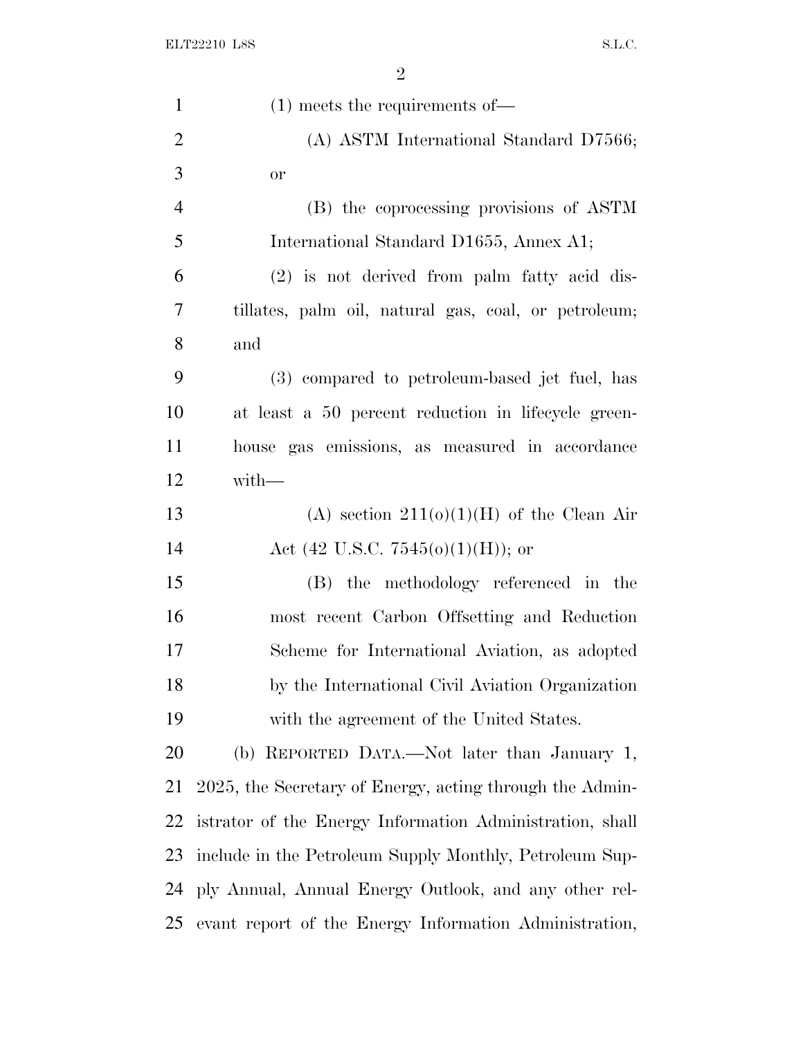| $\mathbf{1}$   | $(1)$ meets the requirements of —                        |
|----------------|----------------------------------------------------------|
| $\overline{2}$ | (A) ASTM International Standard D7566;                   |
| 3              | <b>or</b>                                                |
| $\overline{4}$ | (B) the coprocessing provisions of ASTM                  |
| 5              | International Standard D1655, Annex A1;                  |
| 6              | (2) is not derived from palm fatty acid dis-             |
| 7              | tillates, palm oil, natural gas, coal, or petroleum;     |
| 8              | and                                                      |
| 9              | (3) compared to petroleum-based jet fuel, has            |
| 10             | at least a 50 percent reduction in lifecycle green-      |
| 11             | house gas emissions, as measured in accordance           |
| 12             | with-                                                    |
| 13             | (A) section $211(0)(1)(H)$ of the Clean Air              |
| 14             | Act (42 U.S.C. 7545(o)(1)(H)); or                        |
| 15             | (B) the methodology referenced in the                    |
| 16             | most recent Carbon Offsetting and Reduction              |
| 17             | Scheme for International Aviation, as adopted            |
| 18             | by the International Civil Aviation Organization         |
| 19             | with the agreement of the United States.                 |
| 20             | (b) REPORTED DATA.—Not later than January 1,             |
| 21             | 2025, the Secretary of Energy, acting through the Admin- |
| 22             | istrator of the Energy Information Administration, shall |
| 23             | include in the Petroleum Supply Monthly, Petroleum Sup-  |
| 24             | ply Annual, Annual Energy Outlook, and any other rel-    |
| 25             | evant report of the Energy Information Administration,   |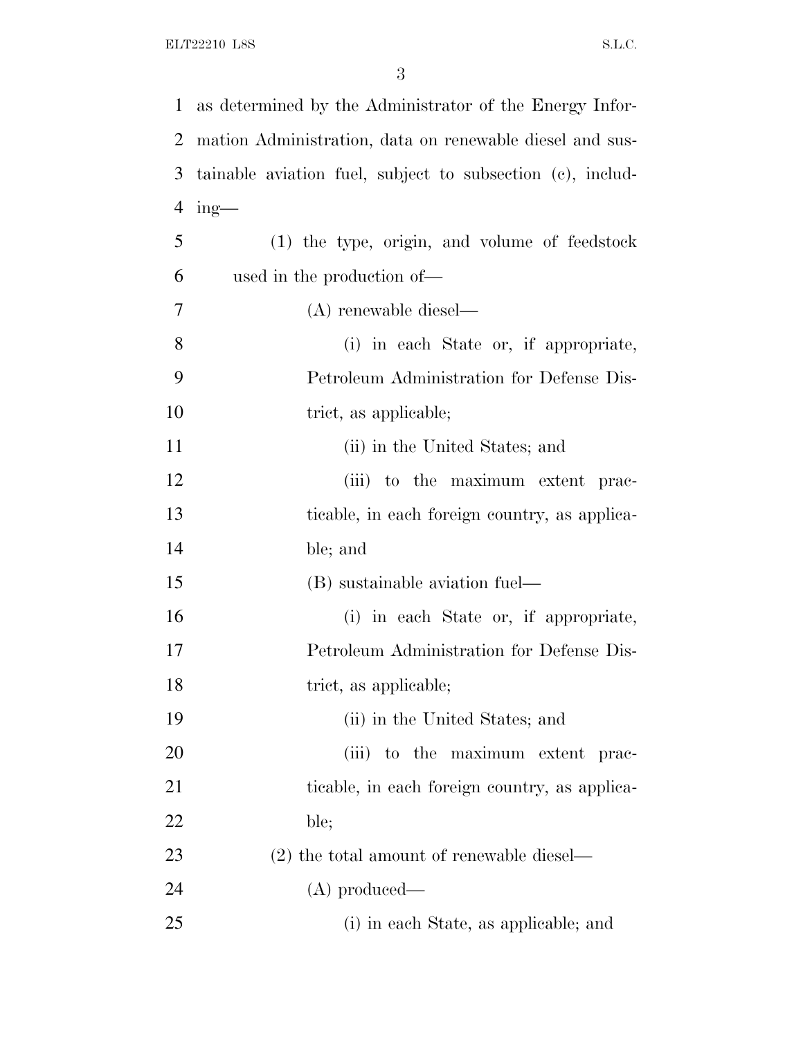| $\mathbf{1}$   | as determined by the Administrator of the Energy Infor-    |
|----------------|------------------------------------------------------------|
| 2              | mation Administration, data on renewable diesel and sus-   |
| 3              | tainable aviation fuel, subject to subsection (c), includ- |
| $\overline{4}$ | $ing$ —                                                    |
| 5              | $(1)$ the type, origin, and volume of feedstock            |
| 6              | used in the production of—                                 |
| 7              | $(A)$ renewable diesel—                                    |
| 8              | (i) in each State or, if appropriate,                      |
| 9              | Petroleum Administration for Defense Dis-                  |
| 10             | trict, as applicable;                                      |
| 11             | (ii) in the United States; and                             |
| 12             | (iii) to the maximum extent prac-                          |
| 13             | ticable, in each foreign country, as applica-              |
| 14             | ble; and                                                   |
| 15             | (B) sustainable aviation fuel—                             |
| 16             | (i) in each State or, if appropriate,                      |
| 17             | Petroleum Administration for Defense Dis-                  |
| 18             | trict, as applicable;                                      |
| 19             | (ii) in the United States; and                             |
| 20             | (iii) to the maximum extent prac-                          |
| 21             | ticable, in each foreign country, as applica-              |
| 22             | ble;                                                       |
| 23             | $(2)$ the total amount of renewable diesel—                |
| 24             | $(A)$ produced—                                            |
| 25             | (i) in each State, as applicable; and                      |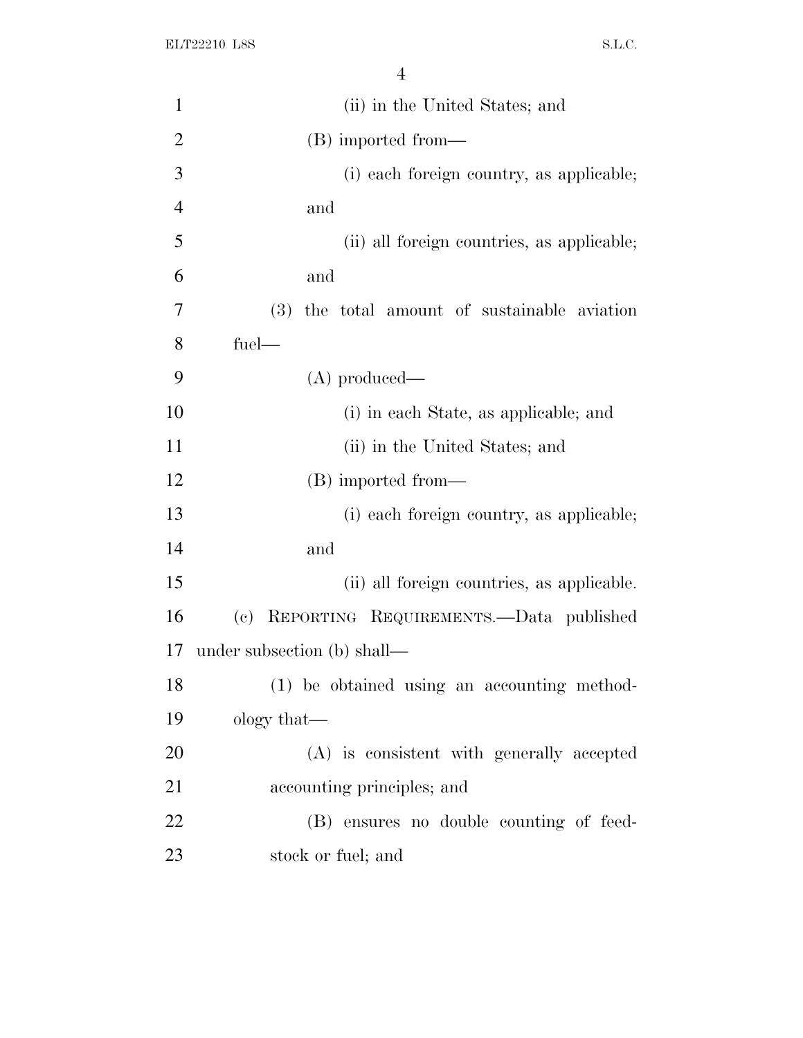| $\mathbf{1}$   | (ii) in the United States; and                                       |
|----------------|----------------------------------------------------------------------|
| $\overline{2}$ | (B) imported from—                                                   |
| 3              | (i) each foreign country, as applicable;                             |
| $\overline{4}$ | and                                                                  |
| 5              | (ii) all foreign countries, as applicable;                           |
| 6              | and                                                                  |
| 7              | (3) the total amount of sustainable aviation                         |
| 8              | fuel-                                                                |
| 9              | $(A)$ produced—                                                      |
| 10             | (i) in each State, as applicable; and                                |
| 11             | (ii) in the United States; and                                       |
| 12             | (B) imported from—                                                   |
| 13             | (i) each foreign country, as applicable;                             |
| 14             | and                                                                  |
| 15             | (ii) all foreign countries, as applicable.                           |
| 16             | REPORTING REQUIREMENTS.—Data published<br>$\left( \mathrm{e}\right)$ |
| 17             | under subsection (b) shall—                                          |
| 18             | (1) be obtained using an accounting method-                          |
| 19             | ology that—                                                          |
| 20             | (A) is consistent with generally accepted                            |
| 21             | accounting principles; and                                           |
| 22             | (B) ensures no double counting of feed-                              |
| 23             | stock or fuel; and                                                   |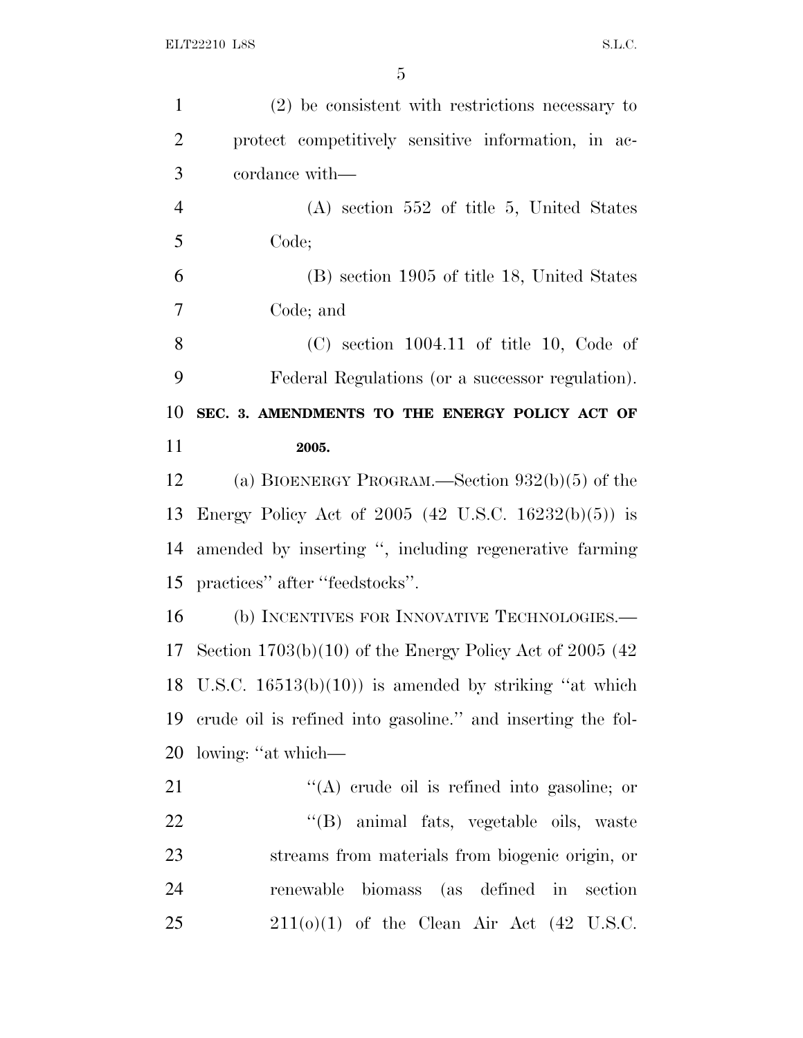| $\mathbf{1}$   | $(2)$ be consistent with restrictions necessary to             |
|----------------|----------------------------------------------------------------|
| $\overline{2}$ | protect competitively sensitive information, in ac-            |
| 3              | cordance with—                                                 |
| $\overline{4}$ | $(A)$ section 552 of title 5, United States                    |
| 5              | Code;                                                          |
| 6              | (B) section 1905 of title 18, United States                    |
| 7              | Code; and                                                      |
| 8              | $(C)$ section 1004.11 of title 10, Code of                     |
| 9              | Federal Regulations (or a successor regulation).               |
| 10             | SEC. 3. AMENDMENTS TO THE ENERGY POLICY ACT OF                 |
| 11             | 2005.                                                          |
| 12             | (a) BIOENERGY PROGRAM.—Section $932(b)(5)$ of the              |
| 13             | Energy Policy Act of 2005 (42 U.S.C. 16232(b)(5)) is           |
| 14             | amended by inserting ", including regenerative farming         |
| 15             | practices" after "feedstocks".                                 |
| 16             | (b) INCENTIVES FOR INNOVATIVE TECHNOLOGIES.-                   |
|                | 17 Section $1703(b)(10)$ of the Energy Policy Act of 2005 (42) |
|                | 18 U.S.C. $16513(b)(10)$ is amended by striking "at which      |
| 19             | erude oil is refined into gasoline." and inserting the fol-    |
| 20             | lowing: "at which—                                             |
| 21             | $\lq\lq$ crude oil is refined into gasoline; or                |
| 22             | "(B) animal fats, vegetable oils, waste                        |
| 23             | streams from materials from biogenic origin, or                |
| 24             | renewable biomass (as defined in<br>section                    |
| 25             | $211(0)(1)$ of the Clean Air Act $(42 \text{ U.S.C.})$         |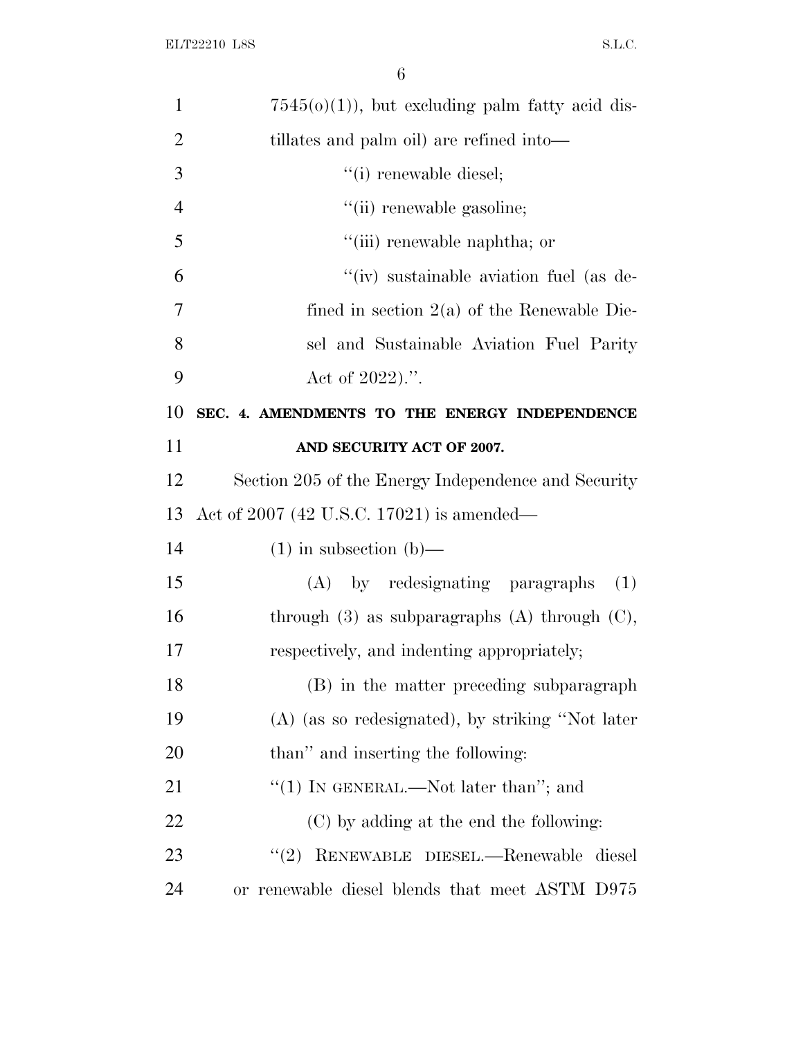| $\mathbf{1}$   | $7545(0)(1)$ , but excluding palm fatty acid dis-    |
|----------------|------------------------------------------------------|
| $\overline{2}$ | tillates and palm oil) are refined into-             |
| 3              | "(i) renewable diesel;                               |
| $\overline{4}$ | "(ii) renewable gasoline;                            |
| 5              | "(iii) renewable naphtha; or                         |
| 6              | "(iv) sustainable aviation fuel (as de-              |
| 7              | fined in section $2(a)$ of the Renewable Die-        |
| 8              | sel and Sustainable Aviation Fuel Parity             |
| 9              | Act of 2022).".                                      |
| 10             | SEC. 4. AMENDMENTS TO THE ENERGY INDEPENDENCE        |
| 11             | AND SECURITY ACT OF 2007.                            |
| 12             | Section 205 of the Energy Independence and Security  |
| 13             | Act of 2007 (42 U.S.C. 17021) is amended—            |
| 14             | $(1)$ in subsection $(b)$ —                          |
| 15             | (A) by redesignating paragraphs<br>(1)               |
| 16             | through $(3)$ as subparagraphs $(A)$ through $(C)$ , |
| 17             | respectively, and indenting appropriately;           |
| 18             | (B) in the matter preceding subparagraph             |
| 19             | (A) (as so redesignated), by striking "Not later     |
| 20             | than" and inserting the following:                   |
| 21             | "(1) In GENERAL.—Not later than"; and                |
| 22             | (C) by adding at the end the following:              |
| 23             | RENEWABLE DIESEL.-Renewable<br>(2)<br>diesel         |
| 24             | or renewable diesel blends that meet ASTM D975       |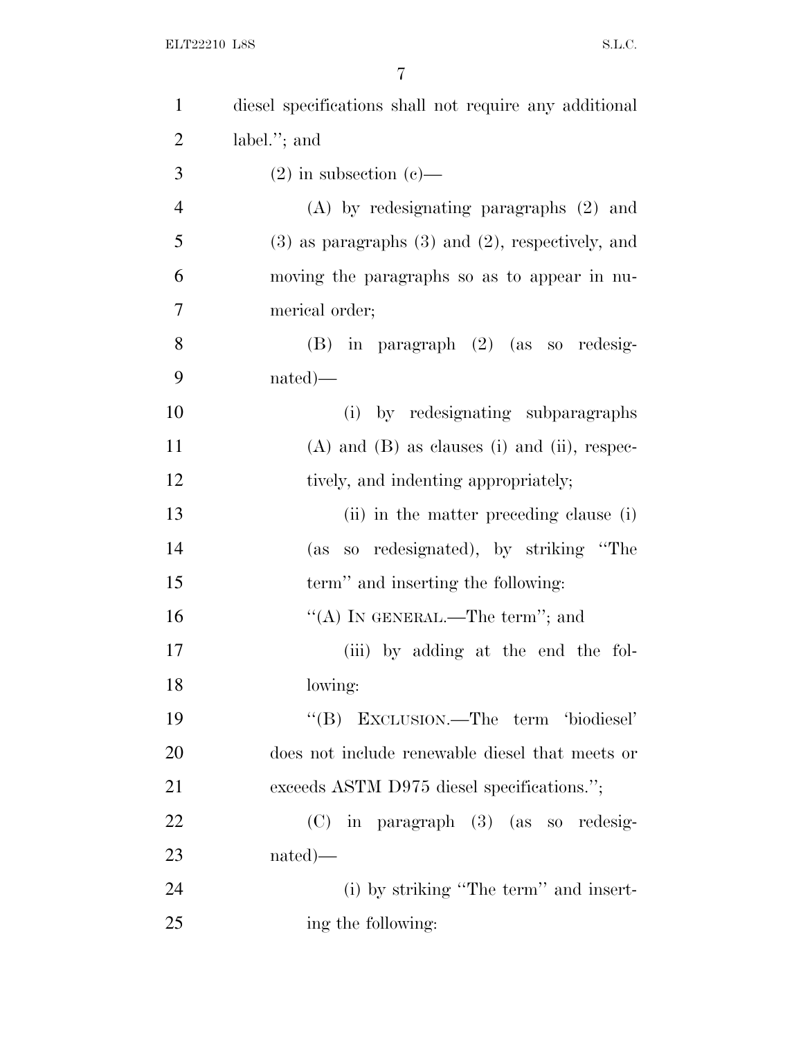| $\mathbf{1}$   | diesel specifications shall not require any additional  |
|----------------|---------------------------------------------------------|
| $\overline{2}$ | label."; and                                            |
| 3              | $(2)$ in subsection $(e)$ —                             |
| $\overline{4}$ | $(A)$ by redesignating paragraphs $(2)$ and             |
| 5              | $(3)$ as paragraphs $(3)$ and $(2)$ , respectively, and |
| 6              | moving the paragraphs so as to appear in nu-            |
| 7              | merical order;                                          |
| 8              | $(B)$ in paragraph $(2)$ (as so redesig-                |
| 9              | $nated)$ —                                              |
| 10             | (i) by redesignating subparagraphs                      |
| 11             | $(A)$ and $(B)$ as clauses (i) and (ii), respec-        |
| 12             | tively, and indenting appropriately;                    |
| 13             | (ii) in the matter preceding clause (i)                 |
| 14             | (as so redesignated), by striking "The                  |
| 15             | term" and inserting the following:                      |
| 16             | "(A) IN GENERAL.—The term"; and                         |
| 17             | (iii) by adding at the end the fol-                     |
| 18             | lowing:                                                 |
| 19             | EXCLUSION.—The term 'biodiesel'<br>$\lq\lq (B)$         |
| 20             | does not include renewable diesel that meets or         |
| 21             | exceeds ASTM D975 diesel specifications.";              |
| 22             | $(C)$ in paragraph $(3)$ (as so redesig-                |
| 23             | $nated)$ —                                              |
| 24             | (i) by striking "The term" and insert-                  |
| 25             | ing the following:                                      |